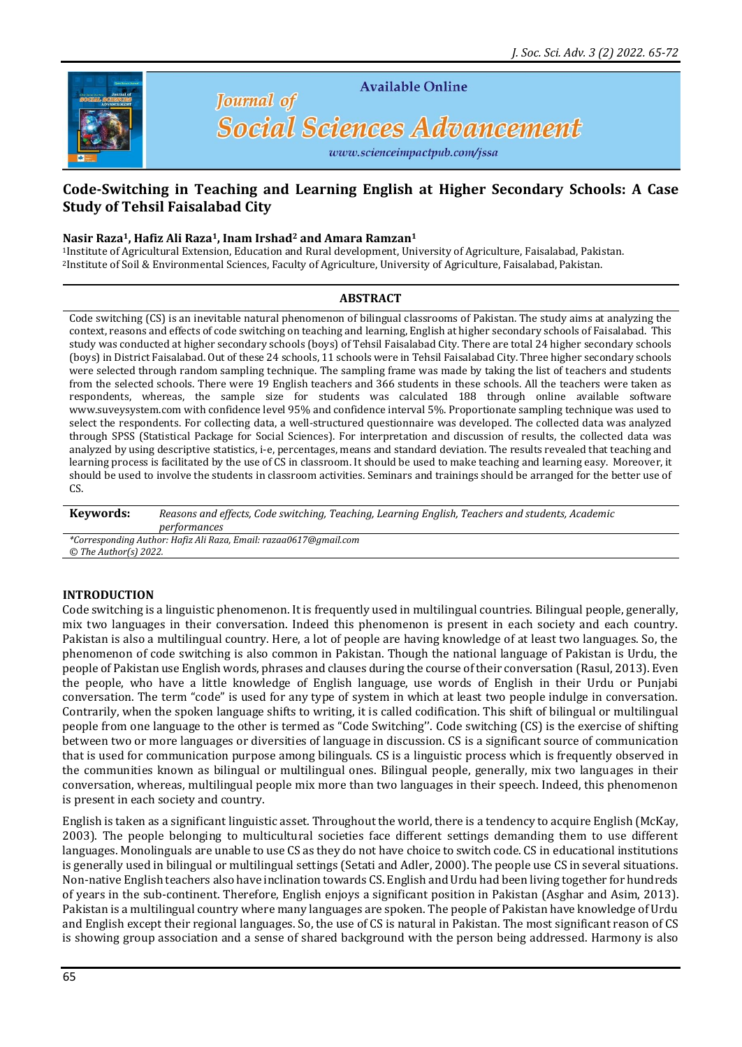

**Available Online** 

# **Social Sciences Advancement**

www.scienceimpactpub.com/jssa

# **Code-Switching in Teaching and Learning English at Higher Secondary Schools: A Case Study of Tehsil Faisalabad City**

#### **Nasir Raza1, Hafiz Ali Raza1, Inam Irshad<sup>2</sup> and Amara Ramzan<sup>1</sup>**

**Journal** of

<sup>1</sup>Institute of Agricultural Extension, Education and Rural development, University of Agriculture, Faisalabad, Pakistan. <sup>2</sup>Institute of Soil & Environmental Sciences, Faculty of Agriculture, University of Agriculture, Faisalabad, Pakistan.

#### **ABSTRACT**

Code switching (CS) is an inevitable natural phenomenon of bilingual classrooms of Pakistan. The study aims at analyzing the context, reasons and effects of code switching on teaching and learning, English at higher secondary schools of Faisalabad. This study was conducted at higher secondary schools (boys) of Tehsil Faisalabad City. There are total 24 higher secondary schools (boys) in District Faisalabad. Out of these 24 schools, 11 schools were in Tehsil Faisalabad City. Three higher secondary schools were selected through random sampling technique. The sampling frame was made by taking the list of teachers and students from the selected schools. There were 19 English teachers and 366 students in these schools. All the teachers were taken as respondents, whereas, the sample size for students was calculated 188 through online available software [www.suveysystem.com](http://www.suveysystem.com/) with confidence level 95% and confidence interval 5%. Proportionate sampling technique was used to select the respondents. For collecting data, a well-structured questionnaire was developed. The collected data was analyzed through SPSS (Statistical Package for Social Sciences). For interpretation and discussion of results, the collected data was analyzed by using descriptive statistics, i-e, percentages, means and standard deviation. The results revealed that teaching and learning process is facilitated by the use of CS in classroom. It should be used to make teaching and learning easy. Moreover, it should be used to involve the students in classroom activities. Seminars and trainings should be arranged for the better use of CS

**Keywords:** *Reasons and effects, Code switching, Teaching, Learning English, Teachers and students, Academic performances*

*\*Corresponding Author: Hafiz Ali Raza, Email: razaa0617@gmail.com © The Author(s) 2022.*

# **INTRODUCTION**

Code switching is a linguistic phenomenon. It is frequently used in multilingual countries. Bilingual people, generally, mix two languages in their conversation. Indeed this phenomenon is present in each society and each country. Pakistan is also a multilingual country. Here, a lot of people are having knowledge of at least two languages. So, the phenomenon of code switching is also common in Pakistan. Though the national language of Pakistan is Urdu, the people of Pakistan use English words, phrases and clauses during the course of their conversation (Rasul, 2013). Even the people, who have a little knowledge of English language, use words of English in their Urdu or Punjabi conversation. The term "code" is used for any type of system in which at least two people indulge in conversation. Contrarily, when the spoken language shifts to writing, it is called codification. This shift of bilingual or multilingual people from one language to the other is termed as "Code Switching''. Code switching (CS) is the exercise of shifting between two or more languages or diversities of language in discussion. CS is a significant source of communication that is used for communication purpose among bilinguals. CS is a linguistic process which is frequently observed in the communities known as bilingual or multilingual ones. Bilingual people, generally, mix two languages in their conversation, whereas, multilingual people mix more than two languages in their speech. Indeed, this phenomenon is present in each society and country.

English is taken as a significant linguistic asset. Throughout the world, there is a tendency to acquire English (McKay, 2003). The people belonging to multicultural societies face different settings demanding them to use different languages. Monolinguals are unable to use CS as they do not have choice to switch code. CS in educational institutions is generally used in bilingual or multilingual settings (Setati and Adler, 2000). The people use CS in several situations. Non-native English teachers also have inclination towards CS. English and Urdu had been living together for hundreds of years in the sub-continent. Therefore, English enjoys a significant position in Pakistan (Asghar and Asim, 2013). Pakistan is a multilingual country where many languages are spoken. The people of Pakistan have knowledge of Urdu and English except their regional languages. So, the use of CS is natural in Pakistan. The most significant reason of CS is showing group association and a sense of shared background with the person being addressed. Harmony is also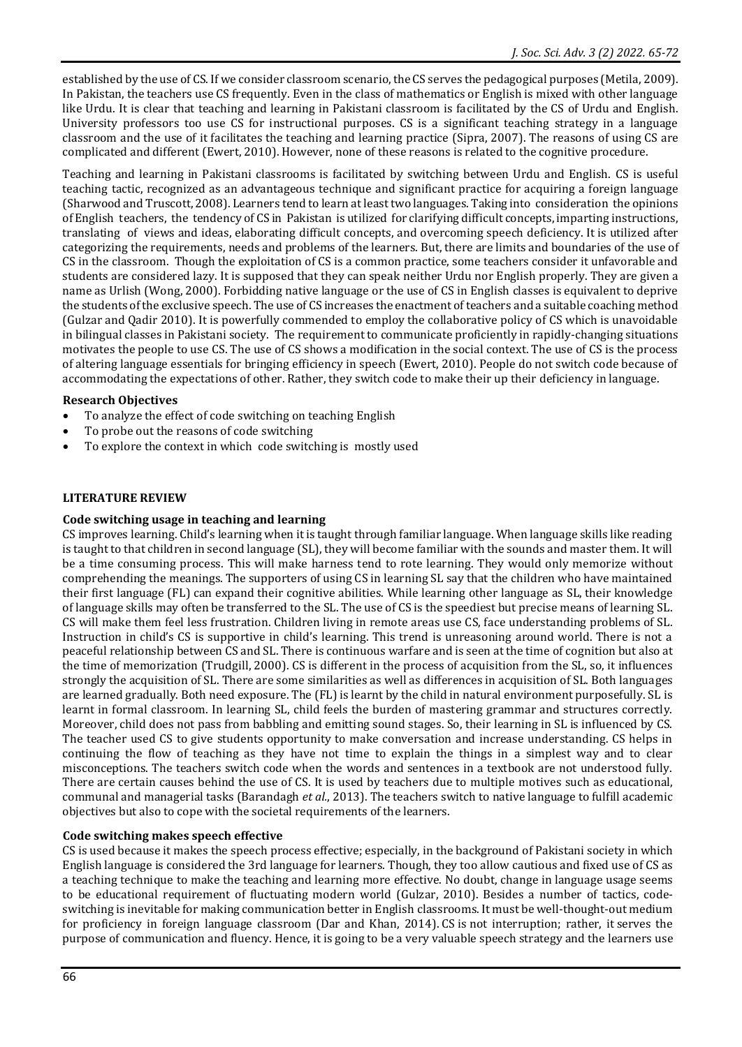established by the use of CS. If we consider classroom scenario, the CS serves the pedagogical purposes (Metila, 2009). In Pakistan, the teachers use CS frequently. Even in the class of mathematics or English is mixed with other language like Urdu. It is clear that teaching and learning in Pakistani classroom is facilitated by the CS of Urdu and English. University professors too use CS for instructional purposes. CS is a significant teaching strategy in a language classroom and the use of it facilitates the teaching and learning practice (Sipra, 2007). The reasons of using CS are complicated and different (Ewert, 2010). However, none of these reasons is related to the cognitive procedure.

Teaching and learning in Pakistani classrooms is facilitated by switching between Urdu and English. CS is useful teaching tactic, recognized as an advantageous technique and significant practice for acquiring a foreign language (Sharwood and Truscott, 2008). Learners tend to learn at least two languages. Taking into consideration the opinions of English teachers, the tendency of CS in Pakistan is utilized for clarifying difficult concepts, imparting instructions, translating of views and ideas, elaborating difficult concepts, and overcoming speech deficiency. It is utilized after categorizing the requirements, needs and problems of the learners. But, there are limits and boundaries of the use of CS in the classroom. Though the exploitation of CS is a common practice, some teachers consider it unfavorable and students are considered lazy. It is supposed that they can speak neither Urdu nor English properly. They are given a name as Urlish (Wong, 2000). Forbidding native language or the use of CS in English classes is equivalent to deprive the students of the exclusive speech. The use of CS increases the enactment of teachers and a suitable coaching method (Gulzar and Qadir 2010). It is powerfully commended to employ the collaborative policy of CS which is unavoidable in bilingual classes in Pakistani society. The requirement to communicate proficiently in rapidly-changing situations motivates the people to use CS. The use of CS shows a modification in the social context. The use of CS is the process of altering language essentials for bringing efficiency in speech (Ewert, 2010). People do not switch code because of accommodating the expectations of other. Rather, they switch code to make their up their deficiency in language.

## **Research Objectives**

- To analyze the effect of code switching on teaching English
- To probe out the reasons of code switching
- To explore the context in which code switching is mostly used

# **LITERATURE REVIEW**

## **Code switching usage in teaching and learning**

CS improves learning. Child's learning when it is taught through familiar language. When language skills like reading is taught to that children in second language (SL), they will become familiar with the sounds and master them. It will be a time consuming process. This will make harness tend to rote learning. They would only memorize without comprehending the meanings. The supporters of using CS in learning SL say that the children who have maintained their first language (FL) can expand their cognitive abilities. While learning other language as SL, their knowledge of language skills may often be transferred to the SL. The use of CS is the speediest but precise means of learning SL. CS will make them feel less frustration. Children living in remote areas use CS, face understanding problems of SL. Instruction in child's CS is supportive in child's learning. This trend is unreasoning around world. There is not a peaceful relationship between CS and SL. There is continuous warfare and is seen at the time of cognition but also at the time of memorization (Trudgill, 2000). CS is different in the process of acquisition from the SL, so, it influences strongly the acquisition of SL. There are some similarities as well as differences in acquisition of SL. Both languages are learned gradually. Both need exposure. The (FL) is learnt by the child in natural environment purposefully. SL is learnt in formal classroom. In learning SL, child feels the burden of mastering grammar and structures correctly. Moreover, child does not pass from babbling and emitting sound stages. So, their learning in SL is influenced by CS. The teacher used CS to give students opportunity to make conversation and increase understanding. CS helps in continuing the flow of teaching as they have not time to explain the things in a simplest way and to clear misconceptions. The teachers switch code when the words and sentences in a textbook are not understood fully. There are certain causes behind the use of CS. It is used by teachers due to multiple motives such as educational, communal and managerial tasks (Barandagh *et al.*, 2013). The teachers switch to native language to fulfill academic objectives but also to cope with the societal requirements of the learners.

## **Code switching makes speech effective**

CS is used because it makes the speech process effective; especially, in the background of Pakistani society in which English language is considered the 3rd language for learners. Though, they too allow cautious and fixed use of CS as a teaching technique to make the teaching and learning more effective. No doubt, change in language usage seems to be educational requirement of fluctuating modern world (Gulzar, 2010). Besides a number of tactics, codeswitching is inevitable for making communication better in English classrooms. It must be well-thought-out medium for proficiency in foreign language classroom (Dar and Khan, 2014). CS is not interruption; rather, it serves the purpose of communication and fluency. Hence, it is going to be a very valuable speech strategy and the learners use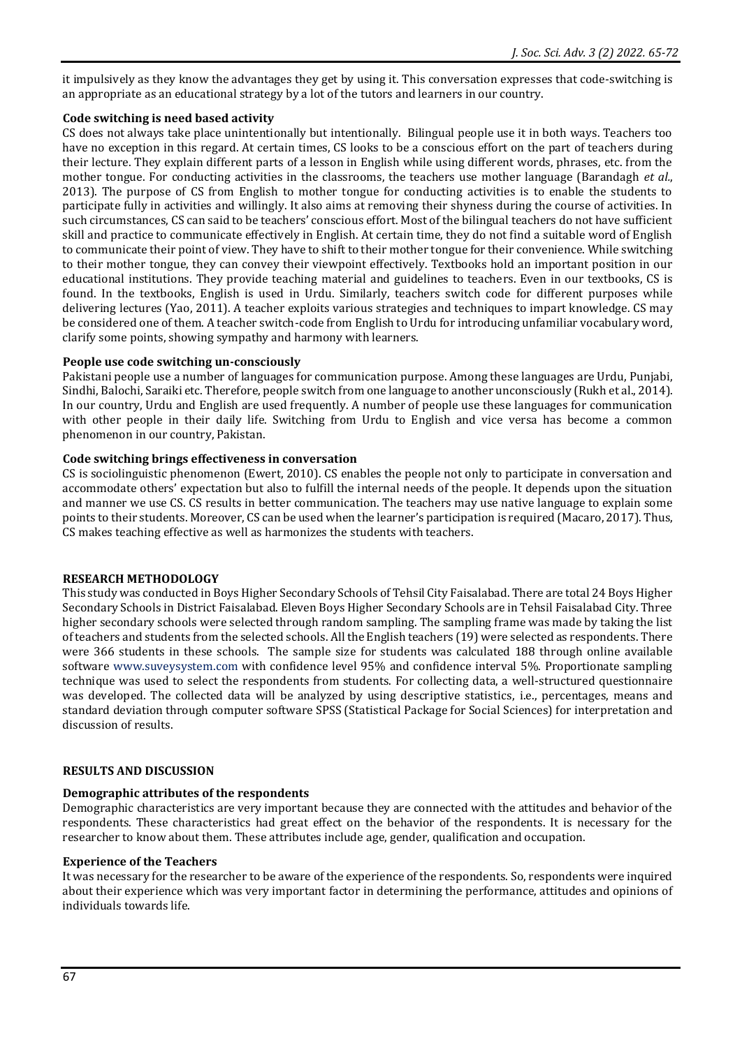it impulsively as they know the advantages they get by using it. This conversation expresses that code-switching is an appropriate as an educational strategy by a lot of the tutors and learners in our country.

# **Code switching is need based activity**

CS does not always take place unintentionally but intentionally. Bilingual people use it in both ways. Teachers too have no exception in this regard. At certain times, CS looks to be a conscious effort on the part of teachers during their lecture. They explain different parts of a lesson in English while using different words, phrases, etc. from the mother tongue. For conducting activities in the classrooms, the teachers use mother language (Barandagh *et al.*, 2013). The purpose of CS from English to mother tongue for conducting activities is to enable the students to participate fully in activities and willingly. It also aims at removing their shyness during the course of activities. In such circumstances, CS can said to be teachers' conscious effort. Most of the bilingual teachers do not have sufficient skill and practice to communicate effectively in English. At certain time, they do not find a suitable word of English to communicate their point of view. They have to shift to their mother tongue for their convenience. While switching to their mother tongue, they can convey their viewpoint effectively. Textbooks hold an important position in our educational institutions. They provide teaching material and guidelines to teachers. Even in our textbooks, CS is found. In the textbooks, English is used in Urdu. Similarly, teachers switch code for different purposes while delivering lectures (Yao, 2011). A teacher exploits various strategies and techniques to impart knowledge. CS may be considered one of them. A teacher switch-code from English to Urdu for introducing unfamiliar vocabulary word, clarify some points, showing sympathy and harmony with learners.

# **People use code switching un-consciously**

Pakistani people use a number of languages for communication purpose. Among these languages are Urdu, Punjabi, Sindhi, Balochi, Saraiki etc. Therefore, people switch from one language to another unconsciously (Rukh et al., 2014). In our country, Urdu and English are used frequently. A number of people use these languages for communication with other people in their daily life. Switching from Urdu to English and vice versa has become a common phenomenon in our country, Pakistan.

# **Code switching brings effectiveness in conversation**

CS is sociolinguistic phenomenon (Ewert, 2010). CS enables the people not only to participate in conversation and accommodate others' expectation but also to fulfill the internal needs of the people. It depends upon the situation and manner we use CS. CS results in better communication. The teachers may use native language to explain some points to their students. Moreover, CS can be used when the learner's participation is required (Macaro, 2017). Thus, CS makes teaching effective as well as harmonizes the students with teachers.

# **RESEARCH METHODOLOGY**

This study was conducted in Boys Higher Secondary Schools of Tehsil City Faisalabad. There are total 24 Boys Higher Secondary Schools in District Faisalabad. Eleven Boys Higher Secondary Schools are in Tehsil Faisalabad City. Three higher secondary schools were selected through random sampling. The sampling frame was made by taking the list of teachers and students from the selected schools. All the English teachers (19) were selected as respondents. There were 366 students in these schools. The sample size for students was calculated 188 through online available software [www.suveysystem.com](http://www.suveysystem.com/) with confidence level 95% and confidence interval 5%. Proportionate sampling technique was used to select the respondents from students. For collecting data, a well-structured questionnaire was developed. The collected data will be analyzed by using descriptive statistics, i.e., percentages, means and standard deviation through computer software SPSS (Statistical Package for Social Sciences) for interpretation and discussion of results.

## **RESULTS AND DISCUSSION**

# **Demographic attributes of the respondents**

Demographic characteristics are very important because they are connected with the attitudes and behavior of the respondents. These characteristics had great effect on the behavior of the respondents. It is necessary for the researcher to know about them. These attributes include age, gender, qualification and occupation.

## **Experience of the Teachers**

It was necessary for the researcher to be aware of the experience of the respondents. So, respondents were inquired about their experience which was very important factor in determining the performance, attitudes and opinions of individuals towards life.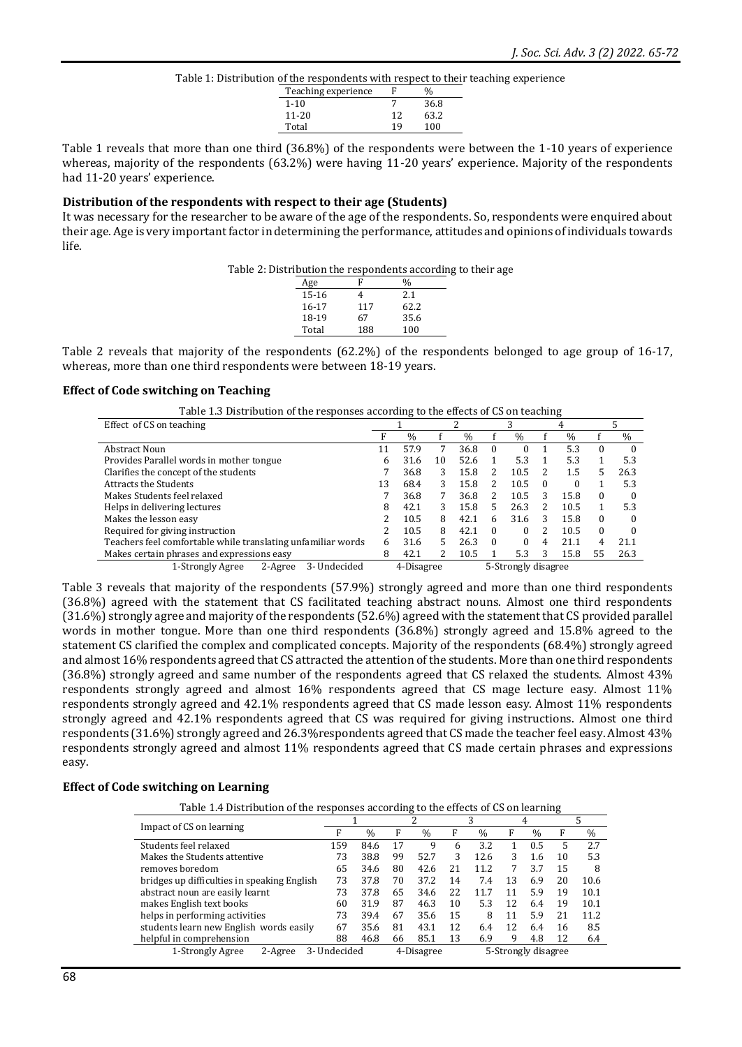Table 1: Distribution of the respondents with respect to their teaching experience

| Teaching experience |    |      |
|---------------------|----|------|
| $1 - 10$            |    | 36.8 |
| $11 - 20$           | 12 | 63.2 |
| Total               | 19 | 100  |
|                     |    |      |

Table 1 reveals that more than one third (36.8%) of the respondents were between the 1-10 years of experience whereas, majority of the respondents (63.2%) were having 11-20 years' experience. Majority of the respondents had 11-20 years' experience.

#### **Distribution of the respondents with respect to their age (Students)**

It was necessary for the researcher to be aware of the age of the respondents. So, respondents were enquired about their age. Age is very important factor in determining the performance, attitudes and opinions of individuals towards life.

| Table 2: Distribution the respondents according to their age |  |  |
|--------------------------------------------------------------|--|--|
|                                                              |  |  |

| Age       | F   |      |
|-----------|-----|------|
| 15-16     |     | 2.1  |
| $16 - 17$ | 117 | 62.2 |
| 18-19     | 67  | 35.6 |
| Total     | 188 | 100  |

Table 2 reveals that majority of the respondents (62.2%) of the respondents belonged to age group of 16-17, whereas, more than one third respondents were between 18-19 years.

#### **Effect of Code switching on Teaching**

| Table 1.3 Distribution of the responses according to the effects of CS on teaching |  |
|------------------------------------------------------------------------------------|--|
|                                                                                    |  |

| Effect of CS on teaching                                     |    |               |    |               | ◠                   |               | 4        |               |          |          |
|--------------------------------------------------------------|----|---------------|----|---------------|---------------------|---------------|----------|---------------|----------|----------|
|                                                              |    | $\frac{0}{0}$ |    | $\frac{0}{0}$ |                     | $\frac{0}{0}$ |          | $\frac{0}{0}$ |          | $\%$     |
| Abstract Noun                                                |    | 57.9          |    | 36.8          | $\theta$            |               |          | 5.3           |          | $\Omega$ |
| Provides Parallel words in mother tongue                     | h  | 31.6          | 10 | 52.6          |                     | 5.3           |          | 5.3           |          | 5.3      |
| Clarifies the concept of the students                        |    | 36.8          | 3  | 15.8          | 2                   | 10.5          | 2        | 1.5           |          | 26.3     |
| <b>Attracts the Students</b>                                 | 13 | 68.4          | 3  | 15.8          | 2                   | 10.5          | $\Omega$ |               |          | 5.3      |
| Makes Students feel relaxed                                  |    | 36.8          |    | 36.8          | 2                   | 10.5          | 3        | 15.8          | 0        | $\Omega$ |
| Helps in delivering lectures                                 | 8  | 42.1          | 3  | 15.8          | 5                   | 26.3          |          | 10.5          |          | 5.3      |
| Makes the lesson easy                                        |    | 10.5          | 8  | 42.1          | 6                   | 31.6          | 3        | 15.8          | $\Omega$ | $\Omega$ |
| Required for giving instruction                              |    | 10.5          | 8  | 42.1          | $\Omega$            |               | 2        | 10.5          | $\Omega$ | $\Omega$ |
| Teachers feel comfortable while translating unfamiliar words | 6  | 31.6          | 5  | 26.3          | $\Omega$            |               | 4        | 21.1          | 4        | 21.1     |
| Makes certain phrases and expressions easy                   | 8  | 42.1          |    | 10.5          |                     | 5.3           | 3        | 15.8          | 55       | 26.3     |
| 1-Strongly Agree<br>3- Undecided<br>2-Agree                  |    | 4-Disagree    |    |               | 5-Strongly disagree |               |          |               |          |          |

Table 3 reveals that majority of the respondents (57.9%) strongly agreed and more than one third respondents (36.8%) agreed with the statement that CS facilitated teaching abstract nouns. Almost one third respondents (31.6%) strongly agree and majority of the respondents (52.6%) agreed with the statement that CS provided parallel words in mother tongue. More than one third respondents (36.8%) strongly agreed and 15.8% agreed to the statement CS clarified the complex and complicated concepts. Majority of the respondents (68.4%) strongly agreed and almost 16% respondents agreed that CS attracted the attention of the students. More than one third respondents (36.8%) strongly agreed and same number of the respondents agreed that CS relaxed the students. Almost 43% respondents strongly agreed and almost 16% respondents agreed that CS mage lecture easy. Almost 11% respondents strongly agreed and 42.1% respondents agreed that CS made lesson easy. Almost 11% respondents strongly agreed and 42.1% respondents agreed that CS was required for giving instructions. Almost one third respondents (31.6%) strongly agreed and 26.3%respondents agreed that CS made the teacher feel easy. Almost 43% respondents strongly agreed and almost 11% respondents agreed that CS made certain phrases and expressions easy.

#### **Effect of Code switching on Learning**

Table 1.4 Distribution of the responses according to the effects of CS on learning

|                                             |              |               |            | っ             |    | 3                   | 4  |               |    |      |
|---------------------------------------------|--------------|---------------|------------|---------------|----|---------------------|----|---------------|----|------|
| Impact of CS on learning                    | F            | $\frac{0}{0}$ | F          | $\frac{0}{0}$ | F  | $\frac{0}{0}$       | F  | $\frac{0}{0}$ | F  | $\%$ |
| Students feel relaxed                       | 159          | 84.6          | 17         | 9             | 6  | 3.2                 |    | 0.5           | 5  | 2.7  |
| Makes the Students attentive                | 73           | 38.8          | 99         | 52.7          | 3  | 12.6                | 3  | 1.6           | 10 | 5.3  |
| removes boredom                             | 65           | 34.6          | 80         | 42.6          | 21 | 11.2                | 7  | 3.7           | 15 | 8    |
| bridges up difficulties in speaking English | 73           | 37.8          | 70         | 37.2          | 14 | 7.4                 | 13 | 6.9           | 20 | 10.6 |
| abstract noun are easily learnt             | 73           | 37.8          | 65         | 34.6          | 22 | 11.7                | 11 | 5.9           | 19 | 10.1 |
| makes English text books                    | 60           | 31.9          | 87         | 46.3          | 10 | 5.3                 | 12 | 6.4           | 19 | 10.1 |
| helps in performing activities              | 73           | 39.4          | 67         | 35.6          | 15 | 8                   | 11 | 5.9           | 21 | 11.2 |
| students learn new English words easily     | 67           | 35.6          | 81         | 43.1          | 12 | 6.4                 | 12 | 6.4           | 16 | 8.5  |
| helpful in comprehension                    | 88           | 46.8          | 66         | 85.1          | 13 | 6.9                 | 9  | 4.8           | 12 | 6.4  |
| 1-Strongly Agree<br>2-Agree                 | 3- Undecided |               | 4-Disagree |               |    | 5-Strongly disagree |    |               |    |      |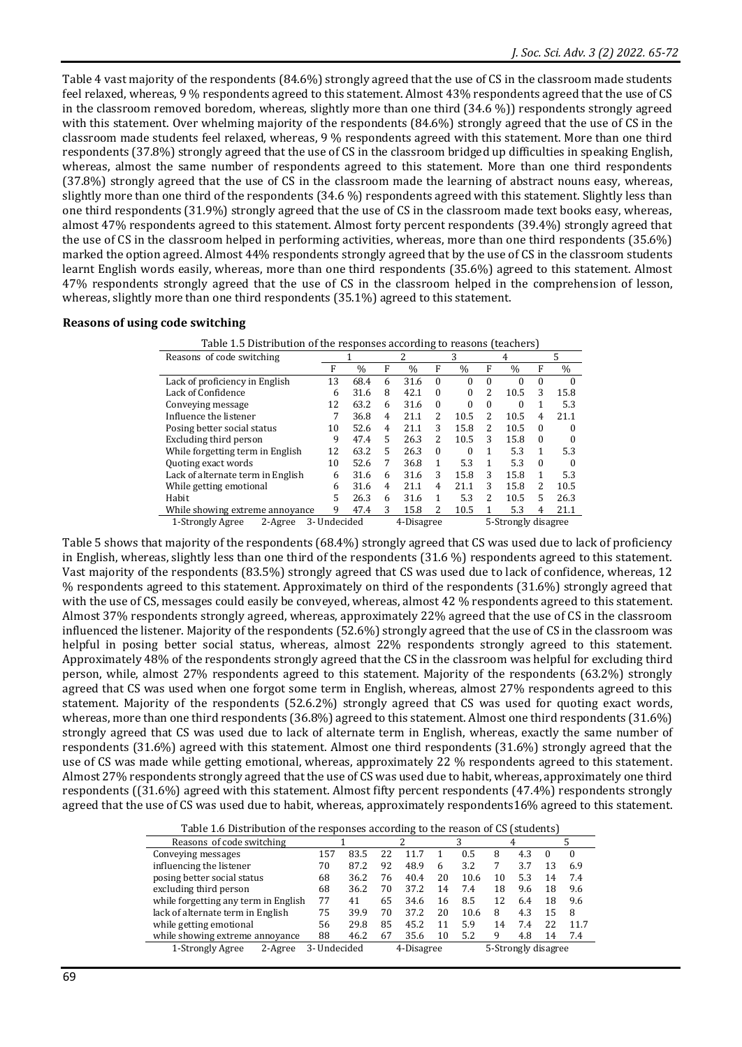Table 4 vast majority of the respondents (84.6%) strongly agreed that the use of CS in the classroom made students feel relaxed, whereas, 9 % respondents agreed to this statement. Almost 43% respondents agreed that the use of CS in the classroom removed boredom, whereas, slightly more than one third (34.6 %)) respondents strongly agreed with this statement. Over whelming majority of the respondents (84.6%) strongly agreed that the use of CS in the classroom made students feel relaxed, whereas, 9 % respondents agreed with this statement. More than one third respondents (37.8%) strongly agreed that the use of CS in the classroom bridged up difficulties in speaking English, whereas, almost the same number of respondents agreed to this statement. More than one third respondents (37.8%) strongly agreed that the use of CS in the classroom made the learning of abstract nouns easy, whereas, slightly more than one third of the respondents (34.6 %) respondents agreed with this statement. Slightly less than one third respondents (31.9%) strongly agreed that the use of CS in the classroom made text books easy, whereas, almost 47% respondents agreed to this statement. Almost forty percent respondents (39.4%) strongly agreed that the use of CS in the classroom helped in performing activities, whereas, more than one third respondents (35.6%) marked the option agreed. Almost 44% respondents strongly agreed that by the use of CS in the classroom students learnt English words easily, whereas, more than one third respondents (35.6%) agreed to this statement. Almost 47% respondents strongly agreed that the use of CS in the classroom helped in the comprehension of lesson, whereas, slightly more than one third respondents (35.1%) agreed to this statement.

#### **Reasons of using code switching**

| Table 1.5 Distribution of the responses according to reasons (teachers) |              |               |                |               |          |               |              |                     |          |          |  |
|-------------------------------------------------------------------------|--------------|---------------|----------------|---------------|----------|---------------|--------------|---------------------|----------|----------|--|
| Reasons of code switching                                               |              |               |                | 2             |          | 3             | 4            |                     |          | 5        |  |
|                                                                         | F            | $\frac{0}{0}$ | F              | $\frac{0}{0}$ | F        | $\frac{0}{0}$ | F            | $\%$                | F        | $\%$     |  |
| Lack of proficiency in English                                          | 13           | 68.4          | 6              | 31.6          | $\Omega$ | $\theta$      | $\Omega$     | $\theta$            | $\Omega$ | $\Omega$ |  |
| Lack of Confidence                                                      | 6            | 31.6          | 8              | 42.1          | $\Omega$ | $\theta$      | 2            | 10.5                | 3        | 15.8     |  |
| Conveying message                                                       | 12           | 63.2          | 6              | 31.6          | $\Omega$ | 0             | $\Omega$     | $\theta$            | 1        | 5.3      |  |
| Influence the listener                                                  | 7            | 36.8          | $\overline{4}$ | 21.1          | 2        | 10.5          | 2            | 10.5                | 4        | 21.1     |  |
| Posing better social status                                             | 10           | 52.6          | 4              | 21.1          | 3        | 15.8          | 2            | 10.5                | 0        | 0        |  |
| Excluding third person                                                  | 9            | 47.4          | 5              | 26.3          | 2        | 10.5          | 3            | 15.8                | $\theta$ | $\Omega$ |  |
| While forgetting term in English                                        | 12           | 63.2          | 5              | 26.3          | $\Omega$ | 0             | 1            | 5.3                 | 1        | 5.3      |  |
| Quoting exact words                                                     | 10           | 52.6          | 7              | 36.8          | 1        | 5.3           | $\mathbf{1}$ | 5.3                 | $\Omega$ |          |  |
| Lack of alternate term in English                                       | 6            | 31.6          | 6              | 31.6          | 3        | 15.8          | 3            | 15.8                | 1        | 5.3      |  |
| While getting emotional                                                 | 6            | 31.6          | 4              | 21.1          | 4        | 21.1          | 3            | 15.8                | 2        | 10.5     |  |
| Habit                                                                   | 5            | 26.3          | 6              | 31.6          | 1        | 5.3           | 2            | 10.5                | 5        | 26.3     |  |
| While showing extreme annoyance                                         | 9            | 47.4          | 3              | 15.8          | 2        | 10.5          |              | 5.3                 | 4        | 21.1     |  |
| 2-Agree<br>1-Strongly Agree                                             | 3- Undecided |               |                | 4-Disagree    |          |               |              | 5-Strongly disagree |          |          |  |

Table 5 shows that majority of the respondents (68.4%) strongly agreed that CS was used due to lack of proficiency in English, whereas, slightly less than one third of the respondents (31.6 %) respondents agreed to this statement. Vast majority of the respondents (83.5%) strongly agreed that CS was used due to lack of confidence, whereas, 12 % respondents agreed to this statement. Approximately on third of the respondents (31.6%) strongly agreed that with the use of CS, messages could easily be conveyed, whereas, almost 42 % respondents agreed to this statement. Almost 37% respondents strongly agreed, whereas, approximately 22% agreed that the use of CS in the classroom influenced the listener. Majority of the respondents (52.6%) strongly agreed that the use of CS in the classroom was helpful in posing better social status, whereas, almost 22% respondents strongly agreed to this statement. Approximately 48% of the respondents strongly agreed that the CS in the classroom was helpful for excluding third person, while, almost 27% respondents agreed to this statement. Majority of the respondents (63.2%) strongly agreed that CS was used when one forgot some term in English, whereas, almost 27% respondents agreed to this statement. Majority of the respondents (52.6.2%) strongly agreed that CS was used for quoting exact words, whereas, more than one third respondents (36.8%) agreed to this statement. Almost one third respondents (31.6%) strongly agreed that CS was used due to lack of alternate term in English, whereas, exactly the same number of respondents (31.6%) agreed with this statement. Almost one third respondents (31.6%) strongly agreed that the use of CS was made while getting emotional, whereas, approximately 22 % respondents agreed to this statement. Almost 27% respondents strongly agreed that the use of CS was used due to habit, whereas, approximately one third respondents ((31.6%) agreed with this statement. Almost fifty percent respondents (47.4%) respondents strongly agreed that the use of CS was used due to habit, whereas, approximately respondents16% agreed to this statement.

| Table 1.6 Distribution of the responses according to the reason of CS (students) |  |
|----------------------------------------------------------------------------------|--|
|----------------------------------------------------------------------------------|--|

|                                      | rapic from protection of the responses according to the reason or go fotuachts |      |    |            |    |      |    |                     |          |          |  |  |
|--------------------------------------|--------------------------------------------------------------------------------|------|----|------------|----|------|----|---------------------|----------|----------|--|--|
| Reasons of code switching            |                                                                                |      |    |            |    |      |    |                     |          |          |  |  |
| Conveying messages                   | 157                                                                            | 83.5 | 22 | 11.7       |    | 0.5  | 8  | 4.3                 | $\left($ | $\Omega$ |  |  |
| influencing the listener             | 70                                                                             | 87.2 | 92 | 48.9       | 6  | 3.2  |    | 3.7                 | 13       | 6.9      |  |  |
| posing better social status          | 68                                                                             | 36.2 | 76 | 40.4       | 20 | 10.6 | 10 | 5.3                 | 14       | 7.4      |  |  |
| excluding third person               | 68                                                                             | 36.2 | 70 | 37.2       | 14 | 7.4  | 18 | 9.6                 | 18       | 9.6      |  |  |
| while forgetting any term in English | 77                                                                             | 41   | 65 | 34.6       | 16 | 8.5  | 12 | 6.4                 | 18       | 9.6      |  |  |
| lack of alternate term in English    | 75                                                                             | 39.9 | 70 | 37.2       | 20 | 10.6 | 8  | 4.3                 | 15       | 8        |  |  |
| while getting emotional              | 56                                                                             | 29.8 | 85 | 45.2       | 11 | 5.9  | 14 | 7.4                 | 22       | 11.7     |  |  |
| while showing extreme annoyance      | 88                                                                             | 46.2 | 67 | 35.6       | 10 | 5.2  | 9  | 4.8                 | 14       | 7.4      |  |  |
| 1-Strongly Agree<br>2-Agree          | 3- Undecided                                                                   |      |    | 4-Disagree |    |      |    | 5-Strongly disagree |          |          |  |  |
|                                      |                                                                                |      |    |            |    |      |    |                     |          |          |  |  |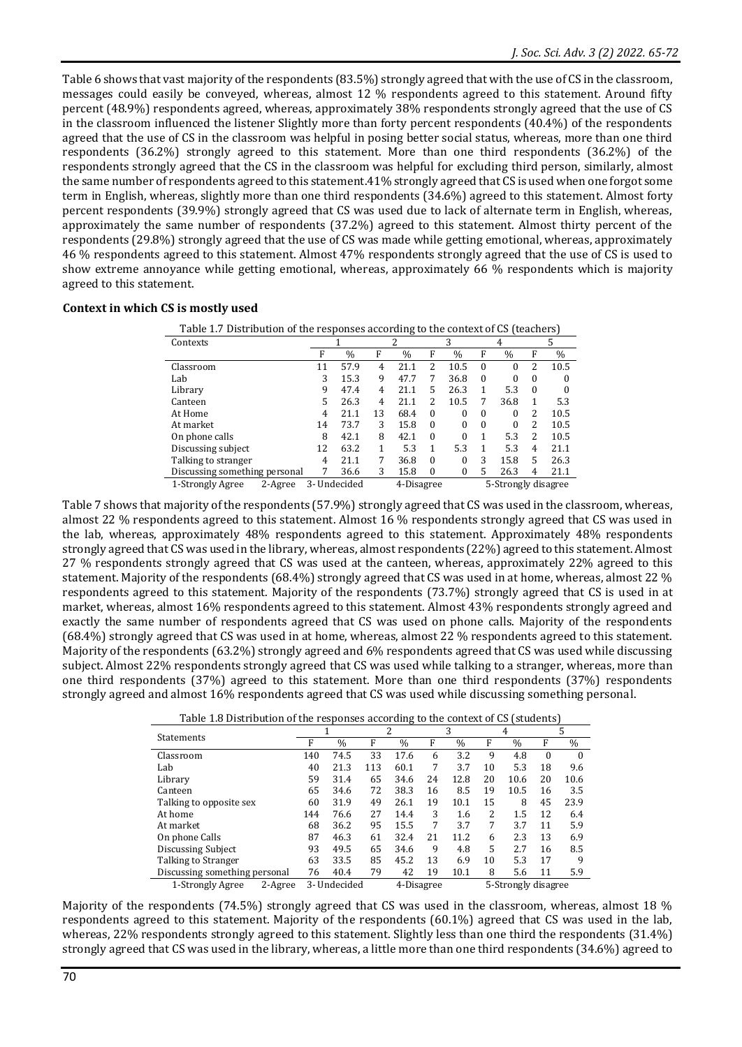Table 6 shows that vast majority of the respondents (83.5%) strongly agreed that with the use of CS in the classroom, messages could easily be conveyed, whereas, almost 12 % respondents agreed to this statement. Around fifty percent (48.9%) respondents agreed, whereas, approximately 38% respondents strongly agreed that the use of CS in the classroom influenced the listener Slightly more than forty percent respondents (40.4%) of the respondents agreed that the use of CS in the classroom was helpful in posing better social status, whereas, more than one third respondents (36.2%) strongly agreed to this statement. More than one third respondents (36.2%) of the respondents strongly agreed that the CS in the classroom was helpful for excluding third person, similarly, almost the same number of respondents agreed to this statement.41% strongly agreed that CS is used when one forgot some term in English, whereas, slightly more than one third respondents (34.6%) agreed to this statement. Almost forty percent respondents (39.9%) strongly agreed that CS was used due to lack of alternate term in English, whereas, approximately the same number of respondents (37.2%) agreed to this statement. Almost thirty percent of the respondents (29.8%) strongly agreed that the use of CS was made while getting emotional, whereas, approximately 46 % respondents agreed to this statement. Almost 47% respondents strongly agreed that the use of CS is used to show extreme annoyance while getting emotional, whereas, approximately 66 % respondents which is majority agreed to this statement.

#### **Context in which CS is mostly used**

| Table 1.7 Distribution of the responses according to the context of CS (teachers) |                                                   |               |    |               |          |               |          |               |               |      |  |
|-----------------------------------------------------------------------------------|---------------------------------------------------|---------------|----|---------------|----------|---------------|----------|---------------|---------------|------|--|
| Contexts                                                                          |                                                   |               | 2  |               | 3        |               | 4        |               | 5             |      |  |
|                                                                                   | F                                                 | $\frac{0}{0}$ | F  | $\frac{0}{0}$ | F        | $\frac{0}{0}$ | F        | $\frac{0}{0}$ | F             | $\%$ |  |
| Classroom                                                                         | 11                                                | 57.9          | 4  | 21.1          | 2        | 10.5          | $\Omega$ | 0             | $\mathcal{L}$ | 10.5 |  |
| Lab                                                                               | 3                                                 | 15.3          | 9  | 47.7          | 7        | 36.8          | $\Omega$ | 0             | $\Omega$      | 0    |  |
| Library                                                                           | 9                                                 | 47.4          | 4  | 21.1          | 5        | 26.3          |          | 5.3           | $\theta$      | 0    |  |
| Canteen                                                                           | 5                                                 | 26.3          | 4  | 21.1          | 2        | 10.5          | 7        | 36.8          |               | 5.3  |  |
| At Home                                                                           | 4                                                 | 21.1          | 13 | 68.4          | $\theta$ | 0             | $\Omega$ | 0             | 2             | 10.5 |  |
| At market                                                                         | 14                                                | 73.7          | 3  | 15.8          | $\theta$ | 0             | $\Omega$ | 0             | 2             | 10.5 |  |
| On phone calls                                                                    | 8                                                 | 42.1          | 8  | 42.1          | $\theta$ | 0             |          | 5.3           | 2             | 10.5 |  |
| Discussing subject                                                                | 12                                                | 63.2          | 1  | 5.3           | 1        | 5.3           |          | 5.3           | 4             | 21.1 |  |
| Talking to stranger                                                               | 4                                                 | 21.1          | 7  | 36.8          | $\theta$ | 0             | 3        | 15.8          | 5             | 26.3 |  |
| Discussing something personal                                                     |                                                   | 36.6          | 3  | 15.8          | $\theta$ | 0             | 5        | 26.3          | 4             | 21.1 |  |
| 1-Strongly Agree<br>2-Agree                                                       | 5-Strongly disagree<br>3- Undecided<br>4-Disagree |               |    |               |          |               |          |               |               |      |  |

Table 7 shows that majority of the respondents (57.9%) strongly agreed that CS was used in the classroom, whereas, almost 22 % respondents agreed to this statement. Almost 16 % respondents strongly agreed that CS was used in the lab, whereas, approximately 48% respondents agreed to this statement. Approximately 48% respondents strongly agreed that CS was used in the library, whereas, almost respondents (22%) agreed to this statement. Almost 27 % respondents strongly agreed that CS was used at the canteen, whereas, approximately 22% agreed to this statement. Majority of the respondents (68.4%) strongly agreed that CS was used in at home, whereas, almost 22 % respondents agreed to this statement. Majority of the respondents (73.7%) strongly agreed that CS is used in at market, whereas, almost 16% respondents agreed to this statement. Almost 43% respondents strongly agreed and exactly the same number of respondents agreed that CS was used on phone calls. Majority of the respondents (68.4%) strongly agreed that CS was used in at home, whereas, almost 22 % respondents agreed to this statement. Majority of the respondents (63.2%) strongly agreed and 6% respondents agreed that CS was used while discussing subject. Almost 22% respondents strongly agreed that CS was used while talking to a stranger, whereas, more than one third respondents (37%) agreed to this statement. More than one third respondents (37%) respondents strongly agreed and almost 16% respondents agreed that CS was used while discussing something personal.

| Table 1.8 Distribution of the responses according to the context of CS (students) |  |
|-----------------------------------------------------------------------------------|--|
|                                                                                   |  |

| Table 1.0 Distribution of the responses according to the context or Go (students) |     |               |     |               |    |               |                     |               |          |          |  |
|-----------------------------------------------------------------------------------|-----|---------------|-----|---------------|----|---------------|---------------------|---------------|----------|----------|--|
|                                                                                   |     |               |     | 2             |    | 3             |                     | 4             |          | 5        |  |
| <b>Statements</b>                                                                 | F   | $\frac{0}{0}$ | F   | $\frac{0}{0}$ | F  | $\frac{0}{0}$ | F                   | $\frac{0}{0}$ | F        | $\%$     |  |
| Classroom                                                                         | 140 | 74.5          | 33  | 17.6          | 6  | 3.2           | 9                   | 4.8           | $\theta$ | $\Omega$ |  |
| Lab                                                                               | 40  | 21.3          | 113 | 60.1          | 7  | 3.7           | 10                  | 5.3           | 18       | 9.6      |  |
| Library                                                                           | 59  | 31.4          | 65  | 34.6          | 24 | 12.8          | 20                  | 10.6          | 20       | 10.6     |  |
| Canteen                                                                           | 65  | 34.6          | 72  | 38.3          | 16 | 8.5           | 19                  | 10.5          | 16       | 3.5      |  |
| Talking to opposite sex                                                           | 60  | 31.9          | 49  | 26.1          | 19 | 10.1          | 15                  | 8             | 45       | 23.9     |  |
| At home                                                                           | 144 | 76.6          | 27  | 14.4          | 3  | 1.6           | 2                   | 1.5           | 12       | 6.4      |  |
| At market                                                                         | 68  | 36.2          | 95  | 15.5          | 7  | 3.7           | 7                   | 3.7           | 11       | 5.9      |  |
| On phone Calls                                                                    | 87  | 46.3          | 61  | 32.4          | 21 | 11.2          | 6                   | 2.3           | 13       | 6.9      |  |
| Discussing Subject                                                                | 93  | 49.5          | 65  | 34.6          | 9  | 4.8           | 5                   | 2.7           | 16       | 8.5      |  |
| Talking to Stranger                                                               | 63  | 33.5          | 85  | 45.2          | 13 | 6.9           | 10                  | 5.3           | 17       | 9        |  |
| Discussing something personal                                                     | 76  | 40.4          | 79  | 42            | 19 | 10.1          | 8                   | 5.6           | 11       | 5.9      |  |
| 2-Agree<br>1-Strongly Agree                                                       |     | 3- Undecided  |     | 4-Disagree    |    |               | 5-Strongly disagree |               |          |          |  |

Majority of the respondents (74.5%) strongly agreed that CS was used in the classroom, whereas, almost 18 % respondents agreed to this statement. Majority of the respondents (60.1%) agreed that CS was used in the lab, whereas, 22% respondents strongly agreed to this statement. Slightly less than one third the respondents (31.4%) strongly agreed that CS was used in the library, whereas, a little more than one third respondents (34.6%) agreed to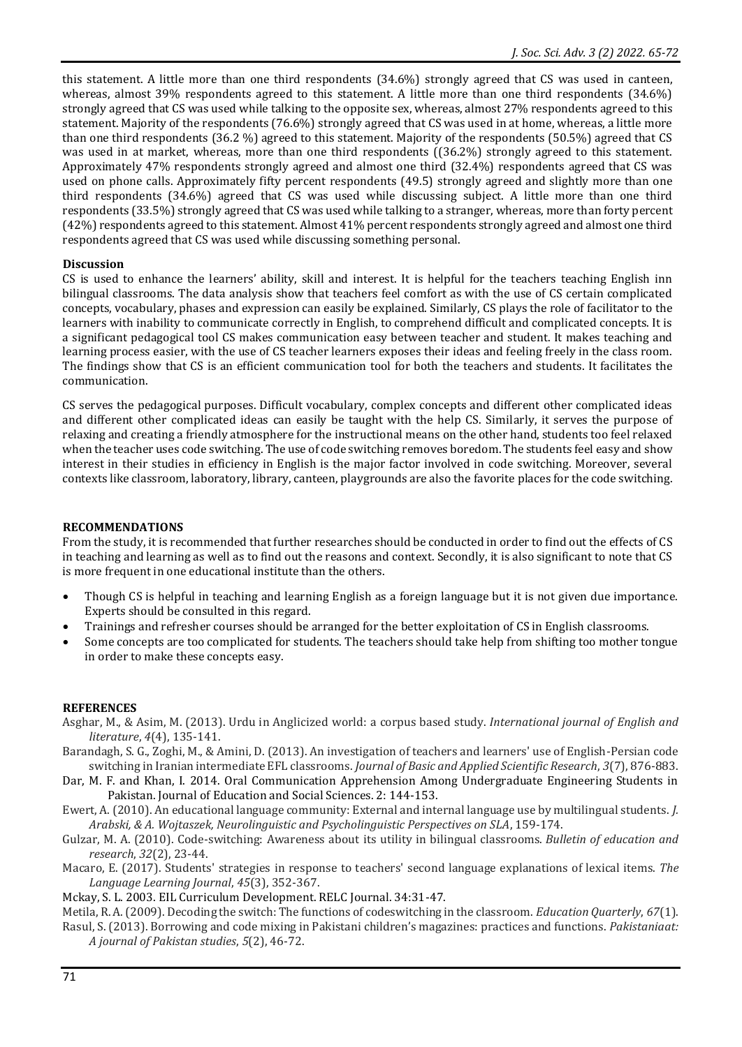this statement. A little more than one third respondents (34.6%) strongly agreed that CS was used in canteen, whereas, almost 39% respondents agreed to this statement. A little more than one third respondents (34.6%) strongly agreed that CS was used while talking to the opposite sex, whereas, almost 27% respondents agreed to this statement. Majority of the respondents (76.6%) strongly agreed that CS was used in at home, whereas, a little more than one third respondents (36.2 %) agreed to this statement. Majority of the respondents (50.5%) agreed that CS was used in at market, whereas, more than one third respondents ((36.2%) strongly agreed to this statement. Approximately 47% respondents strongly agreed and almost one third (32.4%) respondents agreed that CS was used on phone calls. Approximately fifty percent respondents (49.5) strongly agreed and slightly more than one third respondents (34.6%) agreed that CS was used while discussing subject. A little more than one third respondents (33.5%) strongly agreed that CS was used while talking to a stranger, whereas, more than forty percent (42%) respondents agreed to this statement. Almost 41% percent respondents strongly agreed and almost one third respondents agreed that CS was used while discussing something personal.

#### **Discussion**

CS is used to enhance the learners' ability, skill and interest. It is helpful for the teachers teaching English inn bilingual classrooms. The data analysis show that teachers feel comfort as with the use of CS certain complicated concepts, vocabulary, phases and expression can easily be explained. Similarly, CS plays the role of facilitator to the learners with inability to communicate correctly in English, to comprehend difficult and complicated concepts. It is a significant pedagogical tool CS makes communication easy between teacher and student. It makes teaching and learning process easier, with the use of CS teacher learners exposes their ideas and feeling freely in the class room. The findings show that CS is an efficient communication tool for both the teachers and students. It facilitates the communication.

CS serves the pedagogical purposes. Difficult vocabulary, complex concepts and different other complicated ideas and different other complicated ideas can easily be taught with the help CS. Similarly, it serves the purpose of relaxing and creating a friendly atmosphere for the instructional means on the other hand, students too feel relaxed when the teacher uses code switching. The use of code switching removes boredom. The students feel easy and show interest in their studies in efficiency in English is the major factor involved in code switching. Moreover, several contexts like classroom, laboratory, library, canteen, playgrounds are also the favorite places for the code switching.

#### **RECOMMENDATIONS**

From the study, it is recommended that further researches should be conducted in order to find out the effects of CS in teaching and learning as well as to find out the reasons and context. Secondly, it is also significant to note that CS is more frequent in one educational institute than the others.

- Though CS is helpful in teaching and learning English as a foreign language but it is not given due importance. Experts should be consulted in this regard.
- Trainings and refresher courses should be arranged for the better exploitation of CS in English classrooms.
- Some concepts are too complicated for students. The teachers should take help from shifting too mother tongue in order to make these concepts easy.

## **REFERENCES**

- Asghar, M., & Asim, M. (2013). Urdu in Anglicized world: a corpus based study. *International journal of English and literature*, *4*(4), 135-141.
- Barandagh, S. G., Zoghi, M., & Amini, D. (2013). An investigation of teachers and learners' use of English-Persian code switching in Iranian intermediate EFL classrooms. *Journal of Basic and Applied Scientific Research*, *3*(7), 876-883.
- Dar, M. F. and Khan, I. 2014. Oral Communication Apprehension Among Undergraduate Engineering Students in Pakistan. Journal of Education and Social Sciences. 2: 144-153.
- Ewert, A. (2010). An educational language community: External and internal language use by multilingual students. *J. Arabski, & A. Wojtaszek, Neurolinguistic and Psycholinguistic Perspectives on SLA*, 159-174.
- Gulzar, M. A. (2010). Code-switching: Awareness about its utility in bilingual classrooms. *Bulletin of education and research*, *32*(2), 23-44.
- Macaro, E. (2017). Students' strategies in response to teachers' second language explanations of lexical items. *The Language Learning Journal*, *45*(3), 352-367.
- Mckay, S. L. 2003. EIL Curriculum Development. RELC Journal. 34:31-47.
- Metila, R. A. (2009). Decoding the switch: The functions of codeswitching in the classroom. *Education Quarterly*, *67*(1). Rasul, S. (2013). Borrowing and code mixing in Pakistani children's magazines: practices and functions. *Pakistaniaat: A journal of Pakistan studies*, *5*(2), 46-72.
	-